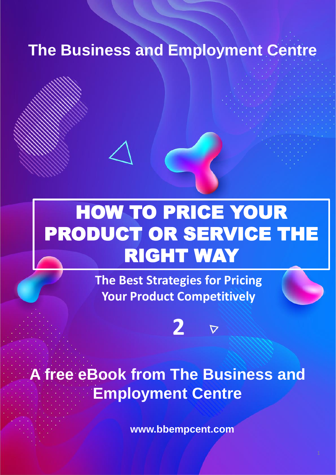## **The Business and Employment Centre**

# HOW TO PRICE YOUR PRODUCT OR SERVICE THE RIGHT WAY

**The Best Strategies for Pricing Your Product Competitively**

**2**

 $\boldsymbol{\nabla}$ 

# **A free eBook from The Business and Employment Centre**

**www.bbempcent.com**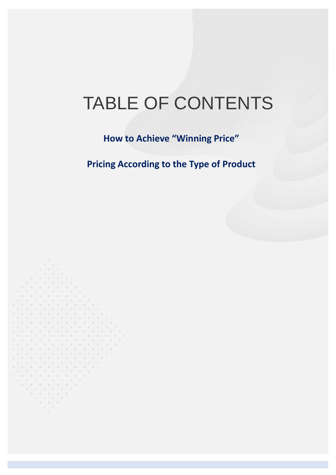# TABLE OF CONTENTS

**How to Achieve "Winning Price"**

**Pricing According to the Type of Product**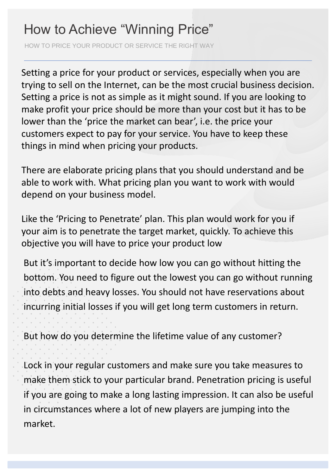### How to Achieve "Winning Price"

HOW TO PRICE YOUR PRODUCT OR SERVICE THE RIGHT WAY

Setting a price for your product or services, especially when you are trying to sell on the Internet, can be the most crucial business decision. Setting a price is not as simple as it might sound. If you are looking to make profit your price should be more than your cost but it has to be lower than the 'price the market can bear', i.e. the price your customers expect to pay for your service. You have to keep these things in mind when pricing your products.

There are elaborate pricing plans that you should understand and be able to work with. What pricing plan you want to work with would depend on your business model.

Like the 'Pricing to Penetrate' plan. This plan would work for you if your aim is to penetrate the target market, quickly. To achieve this objective you will have to price your product low

But it's important to decide how low you can go without hitting the bottom. You need to figure out the lowest you can go without running into debts and heavy losses. You should not have reservations about incurring initial losses if you will get long term customers in return.

But how do you determine the lifetime value of any customer?

Lock in your regular customers and make sure you take measures to make them stick to your particular brand. Penetration pricing is useful if you are going to make a long lasting impression. It can also be useful in circumstances where a lot of new players are jumping into the market.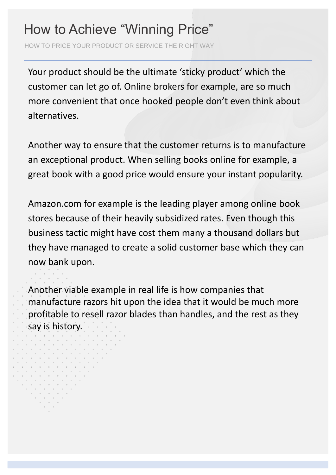#### How to Achieve "Winning Price"

HOW TO PRICE YOUR PRODUCT OR SERVICE THE RIGHT WAY

Your product should be the ultimate 'sticky product' which the customer can let go of. Online brokers for example, are so much more convenient that once hooked people don't even think about alternatives.

Another way to ensure that the customer returns is to manufacture an exceptional product. When selling books online for example, a great book with a good price would ensure your instant popularity.

Amazon.com for example is the leading player among online book stores because of their heavily subsidized rates. Even though this business tactic might have cost them many a thousand dollars but they have managed to create a solid customer base which they can now bank upon.

Another viable example in real life is how companies that manufacture razors hit upon the idea that it would be much more profitable to resell razor blades than handles, and the rest as they say is history.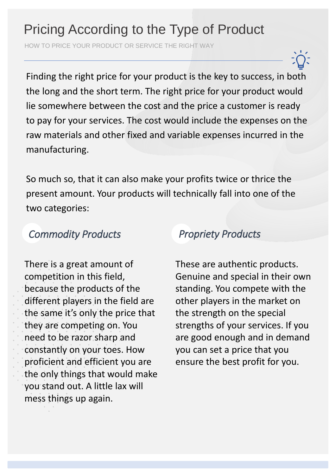## Pricing According to the Type of Product

HOW TO PRICE YOUR PRODUCT OR SERVICE THE RIGHT WAY

Finding the right price for your product is the key to success, in both the long and the short term. The right price for your product would lie somewhere between the cost and the price a customer is ready to pay for your services. The cost would include the expenses on the raw materials and other fixed and variable expenses incurred in the manufacturing.

So much so, that it can also make your profits twice or thrice the present amount. Your products will technically fall into one of the two categories:

#### *Commodity Products*

There is a great amount of competition in this field, because the products of the different players in the field are the same it's only the price that they are competing on. You need to be razor sharp and constantly on your toes. How proficient and efficient you are the only things that would make you stand out. A little lax will mess things up again.

#### *Propriety Products*

These are authentic products. Genuine and special in their own standing. You compete with the other players in the market on the strength on the special strengths of your services. If you are good enough and in demand you can set a price that you ensure the best profit for you.